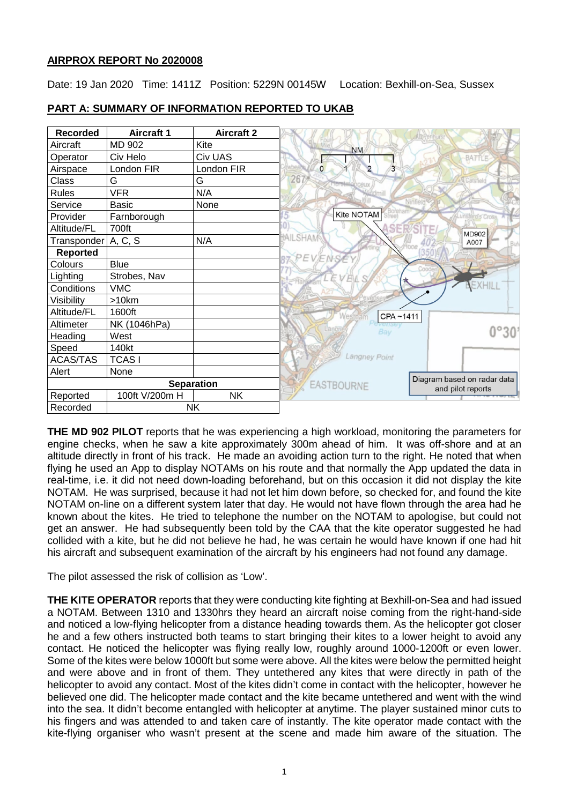## **AIRPROX REPORT No 2020008**

Date: 19 Jan 2020 Time: 1411Z Position: 5229N 00145W Location: Bexhill-on-Sea, Sussex



## **PART A: SUMMARY OF INFORMATION REPORTED TO UKAB**

**THE MD 902 PILOT** reports that he was experiencing a high workload, monitoring the parameters for engine checks, when he saw a kite approximately 300m ahead of him. It was off-shore and at an altitude directly in front of his track. He made an avoiding action turn to the right. He noted that when flying he used an App to display NOTAMs on his route and that normally the App updated the data in real-time, i.e. it did not need down-loading beforehand, but on this occasion it did not display the kite NOTAM. He was surprised, because it had not let him down before, so checked for, and found the kite NOTAM on-line on a different system later that day. He would not have flown through the area had he known about the kites. He tried to telephone the number on the NOTAM to apologise, but could not get an answer. He had subsequently been told by the CAA that the kite operator suggested he had collided with a kite, but he did not believe he had, he was certain he would have known if one had hit his aircraft and subsequent examination of the aircraft by his engineers had not found any damage.

The pilot assessed the risk of collision as 'Low'.

**THE KITE OPERATOR** reports that they were conducting kite fighting at Bexhill-on-Sea and had issued a NOTAM. Between 1310 and 1330hrs they heard an aircraft noise coming from the right-hand-side and noticed a low-flying helicopter from a distance heading towards them. As the helicopter got closer he and a few others instructed both teams to start bringing their kites to a lower height to avoid any contact. He noticed the helicopter was flying really low, roughly around 1000-1200ft or even lower. Some of the kites were below 1000ft but some were above. All the kites were below the permitted height and were above and in front of them. They untethered any kites that were directly in path of the helicopter to avoid any contact. Most of the kites didn't come in contact with the helicopter, however he believed one did. The helicopter made contact and the kite became untethered and went with the wind into the sea. It didn't become entangled with helicopter at anytime. The player sustained minor cuts to his fingers and was attended to and taken care of instantly. The kite operator made contact with the kite-flying organiser who wasn't present at the scene and made him aware of the situation. The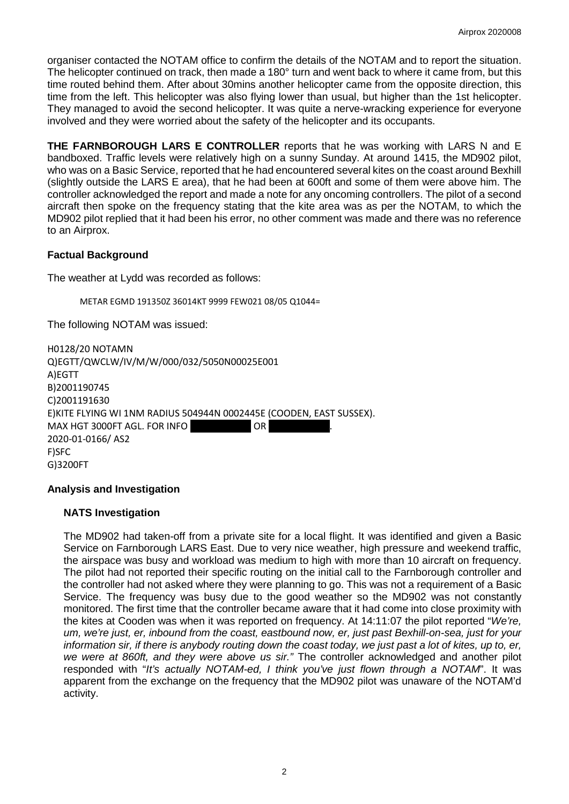organiser contacted the NOTAM office to confirm the details of the NOTAM and to report the situation. The helicopter continued on track, then made a 180° turn and went back to where it came from, but this time routed behind them. After about 30mins another helicopter came from the opposite direction, this time from the left. This helicopter was also flying lower than usual, but higher than the 1st helicopter. They managed to avoid the second helicopter. It was quite a nerve-wracking experience for everyone involved and they were worried about the safety of the helicopter and its occupants.

**THE FARNBOROUGH LARS E CONTROLLER** reports that he was working with LARS N and E bandboxed. Traffic levels were relatively high on a sunny Sunday. At around 1415, the MD902 pilot, who was on a Basic Service, reported that he had encountered several kites on the coast around Bexhill (slightly outside the LARS E area), that he had been at 600ft and some of them were above him. The controller acknowledged the report and made a note for any oncoming controllers. The pilot of a second aircraft then spoke on the frequency stating that the kite area was as per the NOTAM, to which the MD902 pilot replied that it had been his error, no other comment was made and there was no reference to an Airprox.

# **Factual Background**

The weather at Lydd was recorded as follows:

METAR EGMD 191350Z 36014KT 9999 FEW021 08/05 Q1044=

The following NOTAM was issued:

H0128/20 NOTAMN Q)EGTT/QWCLW/IV/M/W/000/032/5050N00025E001 A)EGTT B)2001190745 C)2001191630 E)KITE FLYING WI 1NM RADIUS 504944N 0002445E (COODEN, EAST SUSSEX). MAX HGT 3000FT AGL. FOR INFO **DR** 2020-01-0166/ AS2 F)SFC G)3200FT

## **Analysis and Investigation**

### **NATS Investigation**

The MD902 had taken-off from a private site for a local flight. It was identified and given a Basic Service on Farnborough LARS East. Due to very nice weather, high pressure and weekend traffic, the airspace was busy and workload was medium to high with more than 10 aircraft on frequency. The pilot had not reported their specific routing on the initial call to the Farnborough controller and the controller had not asked where they were planning to go. This was not a requirement of a Basic Service. The frequency was busy due to the good weather so the MD902 was not constantly monitored. The first time that the controller became aware that it had come into close proximity with the kites at Cooden was when it was reported on frequency. At 14:11:07 the pilot reported "*We're, um, we're just, er, inbound from the coast, eastbound now, er, just past Bexhill-on-sea, just for your information sir, if there is anybody routing down the coast today, we just past a lot of kites, up to, er, we were at 860ft, and they were above us sir."* The controller acknowledged and another pilot responded with "*It's actually NOTAM-ed, I think you've just flown through a NOTAM*". It was apparent from the exchange on the frequency that the MD902 pilot was unaware of the NOTAM'd activity.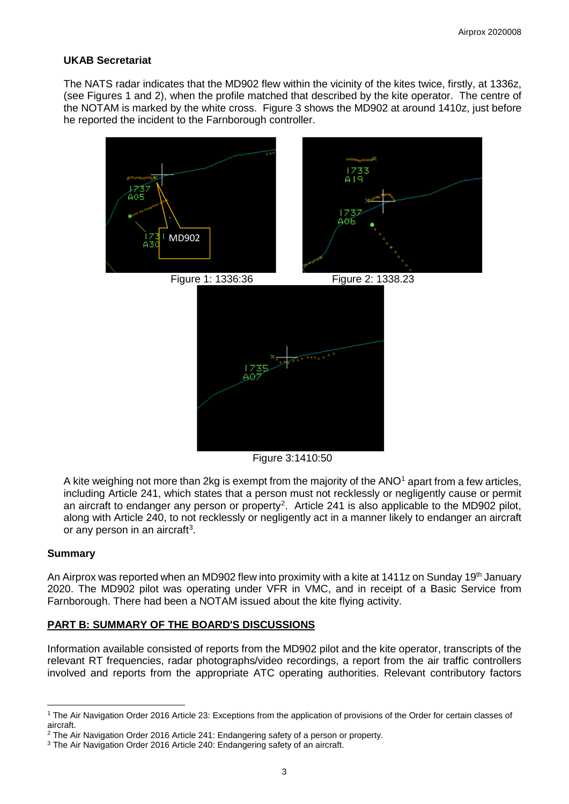# **UKAB Secretariat**

The NATS radar indicates that the MD902 flew within the vicinity of the kites twice, firstly, at 1336z, (see Figures 1 and 2), when the profile matched that described by the kite operator. The centre of the NOTAM is marked by the white cross. Figure 3 shows the MD902 at around 1410z, just before he reported the incident to the Farnborough controller.



Figure 3:1410:50

A kite weighing not more than 2kg is exempt from the majority of the  $ANO<sup>1</sup>$  $ANO<sup>1</sup>$  $ANO<sup>1</sup>$  apart from a few articles, including Article 241, which states that a person must not recklessly or negligently cause or permit an aircraft to endanger any person or property<sup>[2](#page-2-1)</sup>. Article 241 is also applicable to the MD902 pilot, along with Article 240, to not recklessly or negligently act in a manner likely to endanger an aircraft or any person in an aircraft<sup>[3](#page-2-2)</sup>.

## **Summary**

l

An Airprox was reported when an MD902 flew into proximity with a kite at 1411z on Sunday 19<sup>th</sup> January 2020. The MD902 pilot was operating under VFR in VMC, and in receipt of a Basic Service from Farnborough. There had been a NOTAM issued about the kite flying activity.

# **PART B: SUMMARY OF THE BOARD'S DISCUSSIONS**

Information available consisted of reports from the MD902 pilot and the kite operator, transcripts of the relevant RT frequencies, radar photographs/video recordings, a report from the air traffic controllers involved and reports from the appropriate ATC operating authorities. Relevant contributory factors

<span id="page-2-0"></span><sup>1</sup> The Air Navigation Order 2016 Article 23: Exceptions from the application of provisions of the Order for certain classes of aircraft.

<span id="page-2-1"></span><sup>2</sup> The Air Navigation Order 2016 Article 241: Endangering safety of a person or property.

<span id="page-2-2"></span><sup>3</sup> The Air Navigation Order 2016 Article 240: Endangering safety of an aircraft.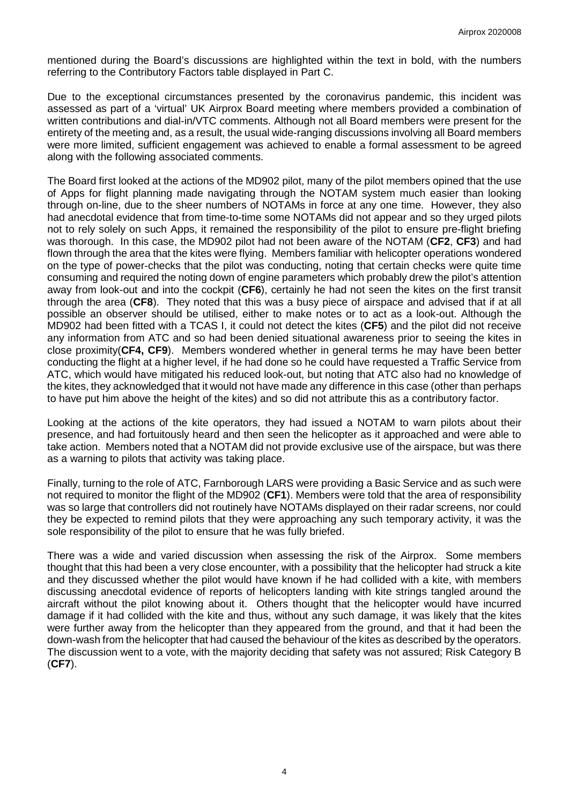mentioned during the Board's discussions are highlighted within the text in bold, with the numbers referring to the Contributory Factors table displayed in Part C.

Due to the exceptional circumstances presented by the coronavirus pandemic, this incident was assessed as part of a 'virtual' UK Airprox Board meeting where members provided a combination of written contributions and dial-in/VTC comments. Although not all Board members were present for the entirety of the meeting and, as a result, the usual wide-ranging discussions involving all Board members were more limited, sufficient engagement was achieved to enable a formal assessment to be agreed along with the following associated comments.

The Board first looked at the actions of the MD902 pilot, many of the pilot members opined that the use of Apps for flight planning made navigating through the NOTAM system much easier than looking through on-line, due to the sheer numbers of NOTAMs in force at any one time. However, they also had anecdotal evidence that from time-to-time some NOTAMs did not appear and so they urged pilots not to rely solely on such Apps, it remained the responsibility of the pilot to ensure pre-flight briefing was thorough. In this case, the MD902 pilot had not been aware of the NOTAM (**CF2**, **CF3**) and had flown through the area that the kites were flying. Members familiar with helicopter operations wondered on the type of power-checks that the pilot was conducting, noting that certain checks were quite time consuming and required the noting down of engine parameters which probably drew the pilot's attention away from look-out and into the cockpit (**CF6**), certainly he had not seen the kites on the first transit through the area (**CF8**). They noted that this was a busy piece of airspace and advised that if at all possible an observer should be utilised, either to make notes or to act as a look-out. Although the MD902 had been fitted with a TCAS I, it could not detect the kites (**CF5**) and the pilot did not receive any information from ATC and so had been denied situational awareness prior to seeing the kites in close proximity(**CF4, CF9**). Members wondered whether in general terms he may have been better conducting the flight at a higher level, if he had done so he could have requested a Traffic Service from ATC, which would have mitigated his reduced look-out, but noting that ATC also had no knowledge of the kites, they acknowledged that it would not have made any difference in this case (other than perhaps to have put him above the height of the kites) and so did not attribute this as a contributory factor.

Looking at the actions of the kite operators, they had issued a NOTAM to warn pilots about their presence, and had fortuitously heard and then seen the helicopter as it approached and were able to take action. Members noted that a NOTAM did not provide exclusive use of the airspace, but was there as a warning to pilots that activity was taking place.

Finally, turning to the role of ATC, Farnborough LARS were providing a Basic Service and as such were not required to monitor the flight of the MD902 (**CF1**). Members were told that the area of responsibility was so large that controllers did not routinely have NOTAMs displayed on their radar screens, nor could they be expected to remind pilots that they were approaching any such temporary activity, it was the sole responsibility of the pilot to ensure that he was fully briefed.

There was a wide and varied discussion when assessing the risk of the Airprox. Some members thought that this had been a very close encounter, with a possibility that the helicopter had struck a kite and they discussed whether the pilot would have known if he had collided with a kite, with members discussing anecdotal evidence of reports of helicopters landing with kite strings tangled around the aircraft without the pilot knowing about it. Others thought that the helicopter would have incurred damage if it had collided with the kite and thus, without any such damage, it was likely that the kites were further away from the helicopter than they appeared from the ground, and that it had been the down-wash from the helicopter that had caused the behaviour of the kites as described by the operators. The discussion went to a vote, with the majority deciding that safety was not assured; Risk Category B (**CF7**).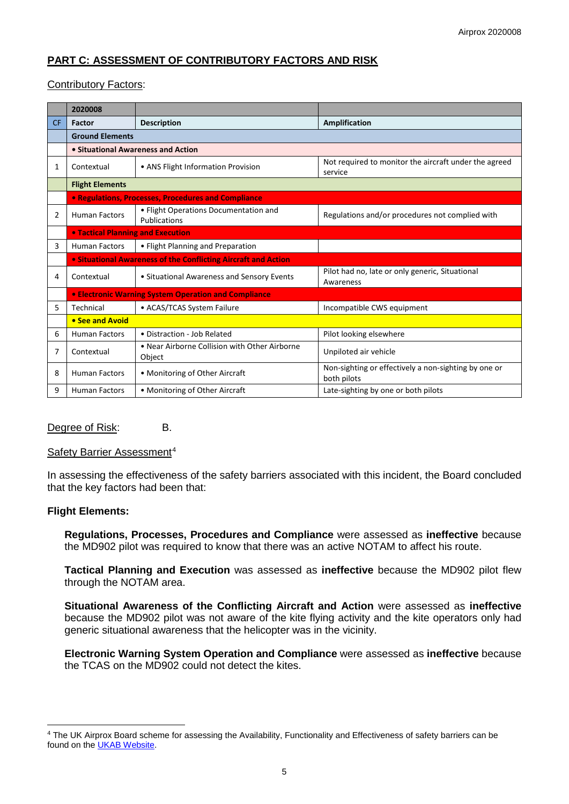# **PART C: ASSESSMENT OF CONTRIBUTORY FACTORS AND RISK**

## Contributory Factors:

|                | 2020008                                                               |                                                         |                                                                     |
|----------------|-----------------------------------------------------------------------|---------------------------------------------------------|---------------------------------------------------------------------|
| <b>CF</b>      | Factor                                                                | <b>Description</b>                                      | <b>Amplification</b>                                                |
|                | <b>Ground Elements</b>                                                |                                                         |                                                                     |
|                | • Situational Awareness and Action                                    |                                                         |                                                                     |
| 1              | Contextual                                                            | • ANS Flight Information Provision                      | Not required to monitor the aircraft under the agreed<br>service    |
|                | <b>Flight Elements</b>                                                |                                                         |                                                                     |
|                | • Regulations, Processes, Procedures and Compliance                   |                                                         |                                                                     |
| $\overline{2}$ | <b>Human Factors</b>                                                  | • Flight Operations Documentation and<br>Publications   | Regulations and/or procedures not complied with                     |
|                | <b>. Tactical Planning and Execution</b>                              |                                                         |                                                                     |
| 3              | <b>Human Factors</b>                                                  | • Flight Planning and Preparation                       |                                                                     |
|                | <b>.</b> Situational Awareness of the Conflicting Aircraft and Action |                                                         |                                                                     |
| 4              | Contextual                                                            | • Situational Awareness and Sensory Events              | Pilot had no, late or only generic, Situational<br>Awareness        |
|                | <b>• Electronic Warning System Operation and Compliance</b>           |                                                         |                                                                     |
| 5              | Technical                                                             | • ACAS/TCAS System Failure                              | Incompatible CWS equipment                                          |
|                | • See and Avoid                                                       |                                                         |                                                                     |
| 6              | <b>Human Factors</b>                                                  | • Distraction - Job Related                             | Pilot looking elsewhere                                             |
| 7              | Contextual                                                            | • Near Airborne Collision with Other Airborne<br>Object | Unpiloted air vehicle                                               |
| 8              | <b>Human Factors</b>                                                  | • Monitoring of Other Aircraft                          | Non-sighting or effectively a non-sighting by one or<br>both pilots |
| 9              | <b>Human Factors</b>                                                  | • Monitoring of Other Aircraft                          | Late-sighting by one or both pilots                                 |

## Degree of Risk: B.

### Safety Barrier Assessment<sup>[4](#page-4-0)</sup>

In assessing the effectiveness of the safety barriers associated with this incident, the Board concluded that the key factors had been that:

### **Flight Elements:**

 $\overline{\phantom{a}}$ 

**Regulations, Processes, Procedures and Compliance** were assessed as **ineffective** because the MD902 pilot was required to know that there was an active NOTAM to affect his route.

**Tactical Planning and Execution** was assessed as **ineffective** because the MD902 pilot flew through the NOTAM area.

**Situational Awareness of the Conflicting Aircraft and Action** were assessed as **ineffective** because the MD902 pilot was not aware of the kite flying activity and the kite operators only had generic situational awareness that the helicopter was in the vicinity.

**Electronic Warning System Operation and Compliance** were assessed as **ineffective** because the TCAS on the MD902 could not detect the kites.

<span id="page-4-0"></span><sup>4</sup> The UK Airprox Board scheme for assessing the Availability, Functionality and Effectiveness of safety barriers can be found on the [UKAB Website.](http://www.airproxboard.org.uk/Learn-more/Airprox-Barrier-Assessment/)